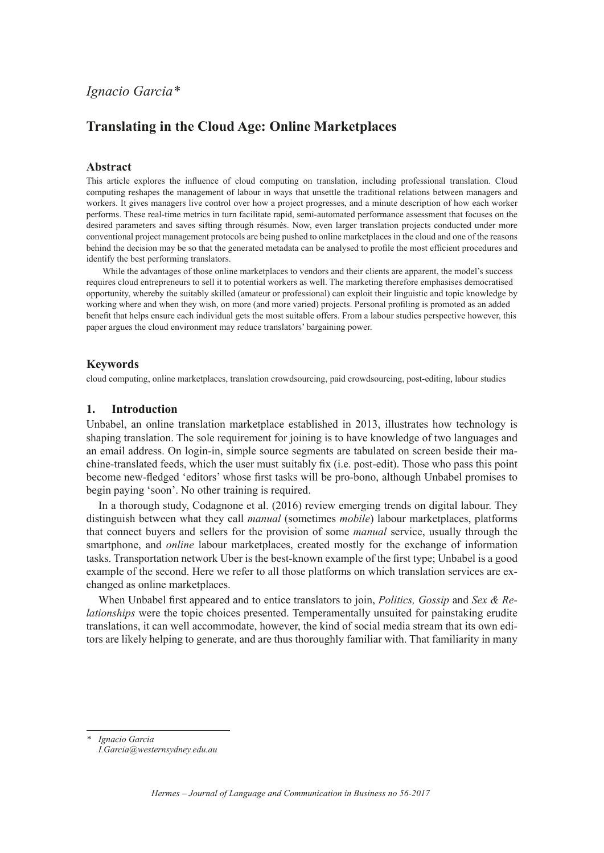# **Translating in the Cloud Age: Online Marketplaces**

## **Abstract**

This article explores the influence of cloud computing on translation, including professional translation. Cloud computing reshapes the management of labour in ways that unsettle the traditional relations between managers and workers. It gives managers live control over how a project progresses, and a minute description of how each worker performs. These real-time metrics in turn facilitate rapid, semi-automated performance assessment that focuses on the desired parameters and saves sifting through résumés. Now, even larger translation projects conducted under more conventional project management protocols are being pushed to online marketplaces in the cloud and one of the reasons behind the decision may be so that the generated metadata can be analysed to profile the most efficient procedures and identify the best performing translators.

While the advantages of those online marketplaces to vendors and their clients are apparent, the model's success requires cloud entrepreneurs to sell it to potential workers as well. The marketing therefore emphasises democratised opportunity, whereby the suitably skilled (amateur or professional) can exploit their linguistic and topic knowledge by working where and when they wish, on more (and more varied) projects. Personal profiling is promoted as an added benefit that helps ensure each individual gets the most suitable offers. From a labour studies perspective however, this paper argues the cloud environment may reduce translators' bargaining power.

#### **Keywords**

cloud computing, online marketplaces, translation crowdsourcing, paid crowdsourcing, post-editing, labour studies

## **1. Introduction**

Unbabel, an online translation marketplace established in 2013, illustrates how technology is shaping translation. The sole requirement for joining is to have knowledge of two languages and an email address. On login-in, simple source segments are tabulated on screen beside their machine-translated feeds, which the user must suitably fix (i.e. post-edit). Those who pass this point become new-fledged 'editors' whose first tasks will be pro-bono, although Unbabel promises to begin paying 'soon'. No other training is required.

In a thorough study, Codagnone et al. (2016) review emerging trends on digital labour. They distinguish between what they call *manual* (sometimes *mobile*) labour marketplaces, platforms that connect buyers and sellers for the provision of some *manual* service, usually through the smartphone, and *online* labour marketplaces, created mostly for the exchange of information tasks. Transportation network Uber is the best-known example of the first type; Unbabel is a good example of the second. Here we refer to all those platforms on which translation services are exchanged as online marketplaces.

When Unbabel first appeared and to entice translators to join, *Politics, Gossip* and *Sex & Relationships* were the topic choices presented. Temperamentally unsuited for painstaking erudite translations, it can well accommodate, however, the kind of social media stream that its own editors are likely helping to generate, and are thus thoroughly familiar with. That familiarity in many

*\* Ignacio Garcia*

*[I.Garcia@westernsydney.edu.au](mailto:I.Garcia@westernsydney.edu.au)*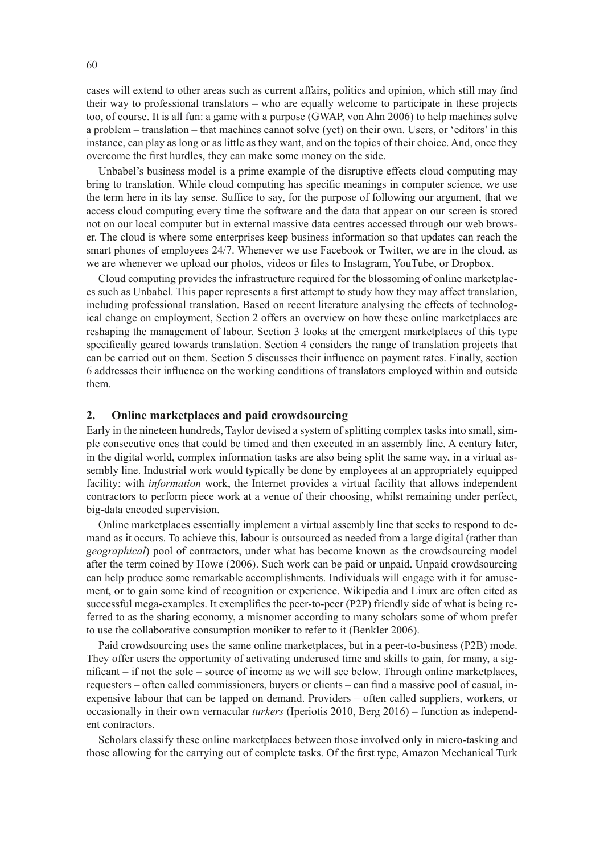cases will extend to other areas such as current affairs, politics and opinion, which still may find their way to professional translators – who are equally welcome to participate in these projects too, of course. It is all fun: a game with a purpose (GWAP, von Ahn 2006) to help machines solve a problem – translation – that machines cannot solve (yet) on their own. Users, or 'editors' in this instance, can play as long or as little as they want, and on the topics of their choice. And, once they overcome the first hurdles, they can make some money on the side.

Unbabel's business model is a prime example of the disruptive effects cloud computing may bring to translation. While cloud computing has specific meanings in computer science, we use the term here in its lay sense. Suffice to say, for the purpose of following our argument, that we access cloud computing every time the software and the data that appear on our screen is stored not on our local computer but in external massive data centres accessed through our web browser. The cloud is where some enterprises keep business information so that updates can reach the smart phones of employees 24/7. Whenever we use Facebook or Twitter, we are in the cloud, as we are whenever we upload our photos, videos or files to Instagram, YouTube, or Dropbox.

Cloud computing provides the infrastructure required for the blossoming of online marketplaces such as Unbabel. This paper represents a first attempt to study how they may affect translation, including professional translation. Based on recent literature analysing the effects of technological change on employment, Section 2 offers an overview on how these online marketplaces are reshaping the management of labour. Section 3 looks at the emergent marketplaces of this type specifically geared towards translation. Section 4 considers the range of translation projects that can be carried out on them. Section 5 discusses their influence on payment rates. Finally, section 6 addresses their influence on the working conditions of translators employed within and outside them.

## **2. Online marketplaces and paid crowdsourcing**

Early in the nineteen hundreds, Taylor devised a system of splitting complex tasks into small, simple consecutive ones that could be timed and then executed in an assembly line. A century later, in the digital world, complex information tasks are also being split the same way, in a virtual assembly line. Industrial work would typically be done by employees at an appropriately equipped facility; with *information* work, the Internet provides a virtual facility that allows independent contractors to perform piece work at a venue of their choosing, whilst remaining under perfect, big-data encoded supervision.

Online marketplaces essentially implement a virtual assembly line that seeks to respond to demand as it occurs. To achieve this, labour is outsourced as needed from a large digital (rather than *geographical*) pool of contractors, under what has become known as the crowdsourcing model after the term coined by Howe (2006). Such work can be paid or unpaid. Unpaid crowdsourcing can help produce some remarkable accomplishments. Individuals will engage with it for amusement, or to gain some kind of recognition or experience. Wikipedia and Linux are often cited as successful mega-examples. It exemplifies the peer-to-peer (P2P) friendly side of what is being referred to as the sharing economy, a misnomer according to many scholars some of whom prefer to use the collaborative consumption moniker to refer to it (Benkler 2006).

Paid crowdsourcing uses the same online marketplaces, but in a peer-to-business (P2B) mode. They offer users the opportunity of activating underused time and skills to gain, for many, a significant – if not the sole – source of income as we will see below. Through online marketplaces, requesters – often called commissioners, buyers or clients – can find a massive pool of casual, inexpensive labour that can be tapped on demand. Providers – often called suppliers, workers, or occasionally in their own vernacular *turkers* (Iperiotis 2010, Berg 2016) – function as independent contractors.

Scholars classify these online marketplaces between those involved only in micro-tasking and those allowing for the carrying out of complete tasks. Of the first type, Amazon Mechanical Turk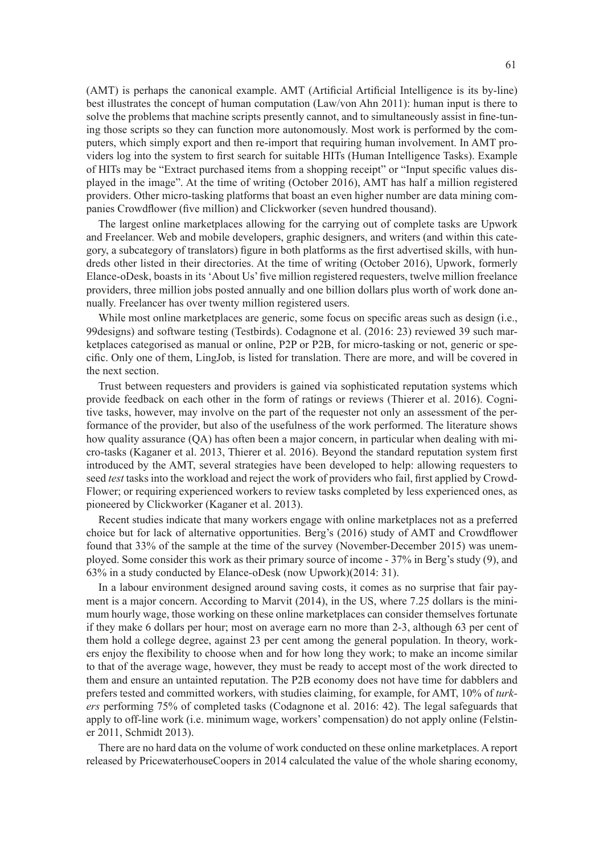(AMT) is perhaps the canonical example. AMT (Artificial Artificial Intelligence is its by-line) best illustrates the concept of human computation (Law/von Ahn 2011): human input is there to solve the problems that machine scripts presently cannot, and to simultaneously assist in fine-tuning those scripts so they can function more autonomously. Most work is performed by the computers, which simply export and then re-import that requiring human involvement. In AMT providers log into the system to first search for suitable HITs (Human Intelligence Tasks). Example of HITs may be "Extract purchased items from a shopping receipt" or "Input specific values displayed in the image". At the time of writing (October 2016), AMT has half a million registered providers. Other micro-tasking platforms that boast an even higher number are data mining companies Crowdflower (five million) and Clickworker (seven hundred thousand).

The largest online marketplaces allowing for the carrying out of complete tasks are Upwork and Freelancer. Web and mobile developers, graphic designers, and writers (and within this category, a subcategory of translators) figure in both platforms as the first advertised skills, with hundreds other listed in their directories. At the time of writing (October 2016), Upwork, formerly Elance-oDesk, boasts in its 'About Us' five million registered requesters, twelve million freelance providers, three million jobs posted annually and one billion dollars plus worth of work done annually. Freelancer has over twenty million registered users.

While most online marketplaces are generic, some focus on specific areas such as design (i.e., 99designs) and software testing (Testbirds). Codagnone et al. (2016: 23) reviewed 39 such marketplaces categorised as manual or online, P2P or P2B, for micro-tasking or not, generic or specific. Only one of them, LingJob, is listed for translation. There are more, and will be covered in the next section.

Trust between requesters and providers is gained via sophisticated reputation systems which provide feedback on each other in the form of ratings or reviews (Thierer et al. 2016). Cognitive tasks, however, may involve on the part of the requester not only an assessment of the performance of the provider, but also of the usefulness of the work performed. The literature shows how quality assurance (QA) has often been a major concern, in particular when dealing with micro-tasks (Kaganer et al. 2013, Thierer et al. 2016). Beyond the standard reputation system first introduced by the AMT, several strategies have been developed to help: allowing requesters to seed *test* tasks into the workload and reject the work of providers who fail, first applied by Crowd-Flower; or requiring experienced workers to review tasks completed by less experienced ones, as pioneered by Clickworker (Kaganer et al. 2013).

Recent studies indicate that many workers engage with online marketplaces not as a preferred choice but for lack of alternative opportunities. Berg's (2016) study of AMT and Crowdflower found that 33% of the sample at the time of the survey (November-December 2015) was unemployed. Some consider this work as their primary source of income - 37% in Berg's study (9), and 63% in a study conducted by Elance-oDesk (now Upwork)(2014: 31).

In a labour environment designed around saving costs, it comes as no surprise that fair payment is a major concern. According to Marvit (2014), in the US, where 7.25 dollars is the minimum hourly wage, those working on these online marketplaces can consider themselves fortunate if they make 6 dollars per hour; most on average earn no more than 2-3, although 63 per cent of them hold a college degree, against 23 per cent among the general population. In theory, workers enjoy the flexibility to choose when and for how long they work; to make an income similar to that of the average wage, however, they must be ready to accept most of the work directed to them and ensure an untainted reputation. The P2B economy does not have time for dabblers and prefers tested and committed workers, with studies claiming, for example, for AMT, 10% of *turkers* performing 75% of completed tasks (Codagnone et al. 2016: 42). The legal safeguards that apply to off-line work (i.e. minimum wage, workers' compensation) do not apply online (Felstiner 2011, Schmidt 2013).

There are no hard data on the volume of work conducted on these online marketplaces. A report released by PricewaterhouseCoopers in 2014 calculated the value of the whole sharing economy,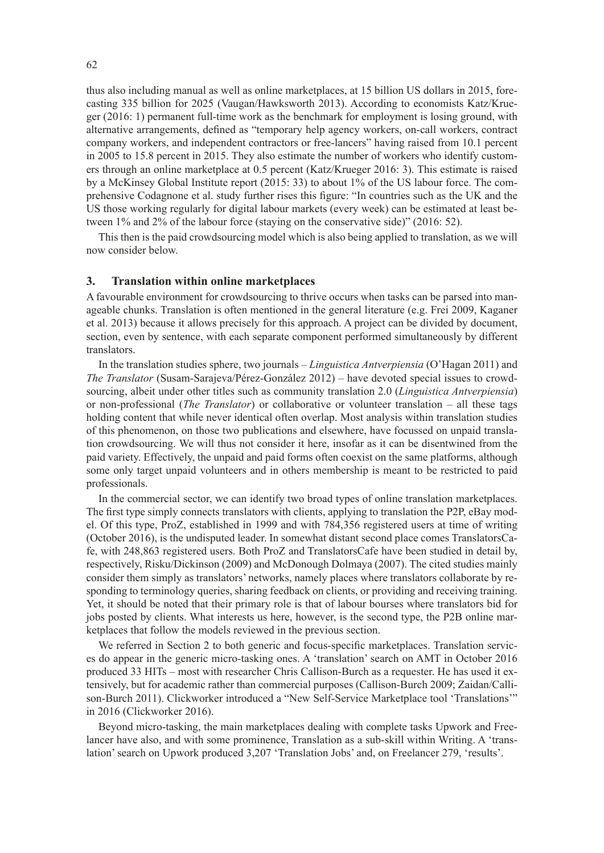thus also including manual as well as online marketplaces, at 15 billion US dollars in 2015, forecasting 335 billion for 2025 (Vaugan/Hawksworth 2013). According to economists Katz/Krueger (2016: 1) permanent full-time work as the benchmark for employment is losing ground, with alternative arrangements, defined as "temporary help agency workers, on-call workers, contract company workers, and independent contractors or free-lancers" having raised from 10.1 percent in 2005 to 15.8 percent in 2015. They also estimate the number of workers who identify customers through an online marketplace at 0.5 percent (Katz/Krueger 2016: 3). This estimate is raised by a McKinsey Global Institute report (2015: 33) to about 1% of the US labour force. The comprehensive Codagnone et al. study further rises this figure: "In countries such as the UK and the US those working regularly for digital labour markets (every week) can be estimated at least between 1% and 2% of the labour force (staying on the conservative side)" (2016: 52).

This then is the paid crowdsourcing model which is also being applied to translation, as we will now consider below.

## **3. Translation within online marketplaces**

A favourable environment for crowdsourcing to thrive occurs when tasks can be parsed into manageable chunks. Translation is often mentioned in the general literature (e.g. Frei 2009, Kaganer et al. 2013) because it allows precisely for this approach. A project can be divided by document, section, even by sentence, with each separate component performed simultaneously by different translators.

In the translation studies sphere, two journals – *Linguistica Antverpiensia* (O'Hagan 2011) and *The Translator* (Susam-Sarajeva/Pérez-González 2012) – have devoted special issues to crowdsourcing, albeit under other titles such as community translation 2.0 (*Linguistica Antverpiensia*) or non-professional (*The Translator*) or collaborative or volunteer translation – all these tags holding content that while never identical often overlap. Most analysis within translation studies of this phenomenon, on those two publications and elsewhere, have focussed on unpaid translation crowdsourcing. We will thus not consider it here, insofar as it can be disentwined from the paid variety. Effectively, the unpaid and paid forms often coexist on the same platforms, although some only target unpaid volunteers and in others membership is meant to be restricted to paid professionals.

In the commercial sector, we can identify two broad types of online translation marketplaces. The first type simply connects translators with clients, applying to translation the P2P, eBay model. Of this type, ProZ, established in 1999 and with 784,356 registered users at time of writing (October 2016), is the undisputed leader. In somewhat distant second place comes TranslatorsCafe, with 248,863 registered users. Both ProZ and TranslatorsCafe have been studied in detail by, respectively, Risku/Dickinson (2009) and McDonough Dolmaya (2007). The cited studies mainly consider them simply as translators' networks, namely places where translators collaborate by responding to terminology queries, sharing feedback on clients, or providing and receiving training. Yet, it should be noted that their primary role is that of labour bourses where translators bid for jobs posted by clients. What interests us here, however, is the second type, the P2B online marketplaces that follow the models reviewed in the previous section.

We referred in Section 2 to both generic and focus-specific marketplaces. Translation services do appear in the generic micro-tasking ones. A 'translation' search on AMT in October 2016 produced 33 HITs – most with researcher Chris Callison-Burch as a requester. He has used it extensively, but for academic rather than commercial purposes (Callison-Burch 2009; Zaidan/Callison-Burch 2011). Clickworker introduced a "New Self-Service Marketplace tool 'Translations'" in 2016 (Clickworker 2016).

Beyond micro-tasking, the main marketplaces dealing with complete tasks Upwork and Freelancer have also, and with some prominence, Translation as a sub-skill within Writing. A 'translation' search on Upwork produced 3,207 'Translation Jobs' and, on Freelancer 279, 'results'.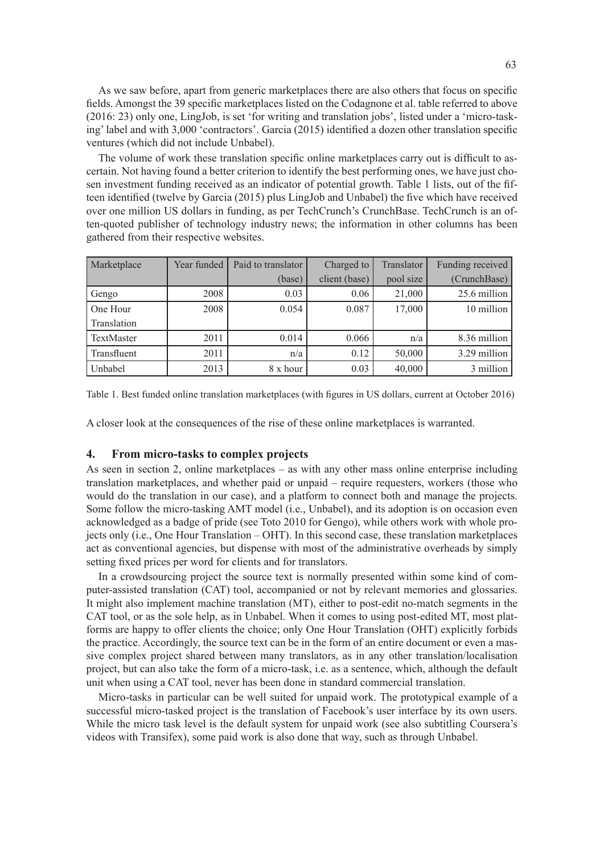As we saw before, apart from generic marketplaces there are also others that focus on specific fields. Amongst the 39 specific marketplaces listed on the Codagnone et al. table referred to above (2016: 23) only one, LingJob, is set 'for writing and translation jobs', listed under a 'micro-tasking' label and with 3,000 'contractors'. Garcia (2015) identified a dozen other translation specific ventures (which did not include Unbabel).

The volume of work these translation specific online marketplaces carry out is difficult to ascertain. Not having found a better criterion to identify the best performing ones, we have just chosen investment funding received as an indicator of potential growth. Table 1 lists, out of the fifteen identified (twelve by Garcia (2015) plus LingJob and Unbabel) the five which have received over one million US dollars in funding, as per TechCrunch's CrunchBase. TechCrunch is an often-quoted publisher of technology industry news; the information in other columns has been gathered from their respective websites.

| Marketplace | Year funded | Paid to translator | Charged to    | Translator | Funding received |
|-------------|-------------|--------------------|---------------|------------|------------------|
|             |             | (base)             | client (base) | pool size  | (CrunchBase)     |
| Gengo       | 2008        | 0.03               | 0.06          | 21,000     | $25.6$ million   |
| One Hour    | 2008        | 0.054              | 0.087         | 17,000     | 10 million       |
| Translation |             |                    |               |            |                  |
| TextMaster  | 2011        | 0.014              | 0.066         | n/a        | 8.36 million     |
| Transfluent | 2011        | n/a                | 0.12          | 50,000     | $3.29$ million   |
| Unbabel     | 2013        | 8 x hour           | 0.03          | 40,000     | 3 million        |

Table 1. Best funded online translation marketplaces (with figures in US dollars, current at October 2016)

A closer look at the consequences of the rise of these online marketplaces is warranted.

#### **4. From micro-tasks to complex projects**

As seen in section 2, online marketplaces – as with any other mass online enterprise including translation marketplaces, and whether paid or unpaid – require requesters, workers (those who would do the translation in our case), and a platform to connect both and manage the projects. Some follow the micro-tasking AMT model (i.e., Unbabel), and its adoption is on occasion even acknowledged as a badge of pride (see Toto 2010 for Gengo), while others work with whole projects only (i.e., One Hour Translation – OHT). In this second case, these translation marketplaces act as conventional agencies, but dispense with most of the administrative overheads by simply setting fixed prices per word for clients and for translators.

In a crowdsourcing project the source text is normally presented within some kind of computer-assisted translation (CAT) tool, accompanied or not by relevant memories and glossaries. It might also implement machine translation (MT), either to post-edit no-match segments in the CAT tool, or as the sole help, as in Unbabel. When it comes to using post-edited MT, most platforms are happy to offer clients the choice; only One Hour Translation (OHT) explicitly forbids the practice. Accordingly, the source text can be in the form of an entire document or even a massive complex project shared between many translators, as in any other translation/localisation project, but can also take the form of a micro-task, i.e. as a sentence, which, although the default unit when using a CAT tool, never has been done in standard commercial translation.

Micro-tasks in particular can be well suited for unpaid work. The prototypical example of a successful micro-tasked project is the translation of Facebook's user interface by its own users. While the micro task level is the default system for unpaid work (see also subtitling Coursera's videos with Transifex), some paid work is also done that way, such as through Unbabel.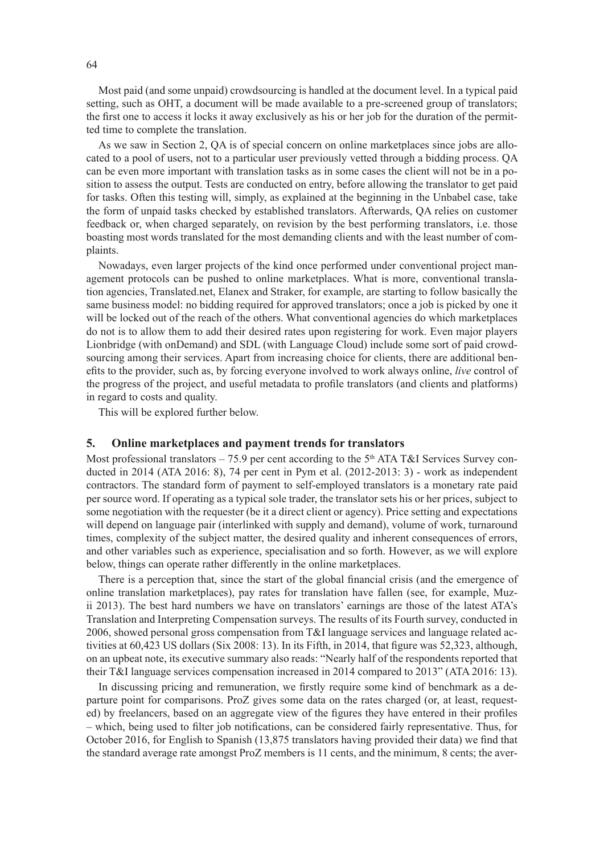Most paid (and some unpaid) crowdsourcing is handled at the document level. In a typical paid setting, such as OHT, a document will be made available to a pre-screened group of translators; the first one to access it locks it away exclusively as his or her job for the duration of the permitted time to complete the translation.

As we saw in Section 2, QA is of special concern on online marketplaces since jobs are allocated to a pool of users, not to a particular user previously vetted through a bidding process. QA can be even more important with translation tasks as in some cases the client will not be in a position to assess the output. Tests are conducted on entry, before allowing the translator to get paid for tasks. Often this testing will, simply, as explained at the beginning in the Unbabel case, take the form of unpaid tasks checked by established translators. Afterwards, QA relies on customer feedback or, when charged separately, on revision by the best performing translators, i.e. those boasting most words translated for the most demanding clients and with the least number of complaints.

Nowadays, even larger projects of the kind once performed under conventional project management protocols can be pushed to online marketplaces. What is more, conventional translation agencies, Translated.net, Elanex and Straker, for example, are starting to follow basically the same business model: no bidding required for approved translators; once a job is picked by one it will be locked out of the reach of the others. What conventional agencies do which marketplaces do not is to allow them to add their desired rates upon registering for work. Even major players Lionbridge (with onDemand) and SDL (with Language Cloud) include some sort of paid crowdsourcing among their services. Apart from increasing choice for clients, there are additional benefits to the provider, such as, by forcing everyone involved to work always online, *live* control of the progress of the project, and useful metadata to profile translators (and clients and platforms) in regard to costs and quality.

This will be explored further below.

## **5. Online marketplaces and payment trends for translators**

Most professional translators – 75.9 per cent according to the  $5<sup>th</sup> ATA T&I$  Services Survey conducted in 2014 (ATA 2016: 8), 74 per cent in Pym et al. (2012-2013: 3) - work as independent contractors. The standard form of payment to self-employed translators is a monetary rate paid per source word. If operating as a typical sole trader, the translator sets his or her prices, subject to some negotiation with the requester (be it a direct client or agency). Price setting and expectations will depend on language pair (interlinked with supply and demand), volume of work, turnaround times, complexity of the subject matter, the desired quality and inherent consequences of errors, and other variables such as experience, specialisation and so forth. However, as we will explore below, things can operate rather differently in the online marketplaces.

There is a perception that, since the start of the global financial crisis (and the emergence of online translation marketplaces), pay rates for translation have fallen (see, for example, Muzii 2013). The best hard numbers we have on translators' earnings are those of the latest ATA's Translation and Interpreting Compensation surveys. The results of its Fourth survey, conducted in 2006, showed personal gross compensation from T&I language services and language related activities at 60,423 US dollars (Six 2008: 13). In its Fifth, in 2014, that figure was 52,323, although, on an upbeat note, its executive summary also reads: "Nearly half of the respondents reported that their T&I language services compensation increased in 2014 compared to 2013" (ATA 2016: 13).

In discussing pricing and remuneration, we firstly require some kind of benchmark as a departure point for comparisons. ProZ gives some data on the rates charged (or, at least, requested) by freelancers, based on an aggregate view of the figures they have entered in their profiles – which, being used to filter job notifications, can be considered fairly representative. Thus, for October 2016, for English to Spanish (13,875 translators having provided their data) we find that the standard average rate amongst ProZ members is 11 cents, and the minimum, 8 cents; the aver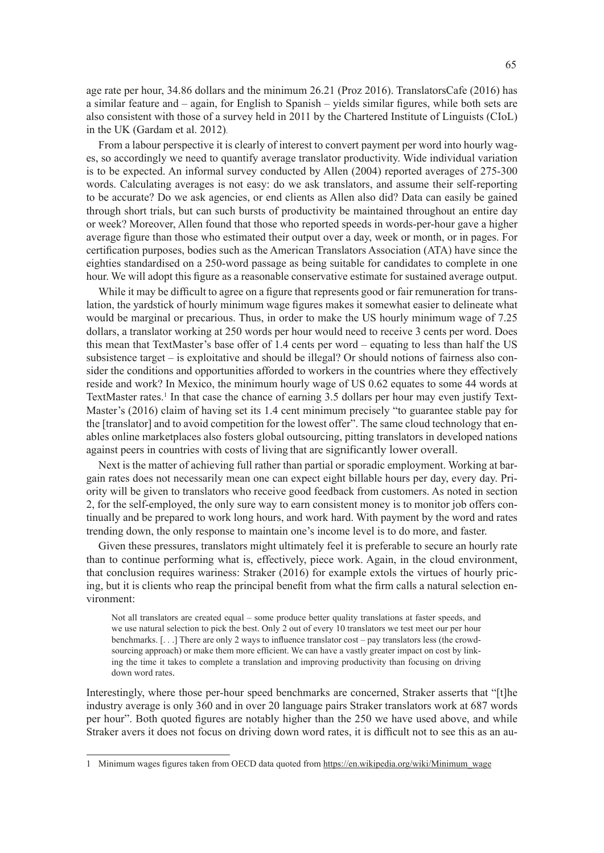age rate per hour, 34.86 dollars and the minimum 26.21 (Proz 2016). TranslatorsCafe (2016) has a similar feature and – again, for English to Spanish – yields similar figures, while both sets are also consistent with those of a survey held in 2011 by the Chartered Institute of Linguists (CIoL) in the UK (Gardam et al. 2012).

From a labour perspective it is clearly of interest to convert payment per word into hourly wages, so accordingly we need to quantify average translator productivity. Wide individual variation is to be expected. An informal survey conducted by Allen (2004) reported averages of 275-300 words. Calculating averages is not easy: do we ask translators, and assume their self-reporting to be accurate? Do we ask agencies, or end clients as Allen also did? Data can easily be gained through short trials, but can such bursts of productivity be maintained throughout an entire day or week? Moreover, Allen found that those who reported speeds in words-per-hour gave a higher average figure than those who estimated their output over a day, week or month, or in pages. For certification purposes, bodies such as the American Translators Association (ATA) have since the eighties standardised on a 250-word passage as being suitable for candidates to complete in one hour. We will adopt this figure as a reasonable conservative estimate for sustained average output.

While it may be difficult to agree on a figure that represents good or fair remuneration for translation, the yardstick of hourly minimum wage figures makes it somewhat easier to delineate what would be marginal or precarious. Thus, in order to make the US hourly minimum wage of 7.25 dollars, a translator working at 250 words per hour would need to receive 3 cents per word. Does this mean that TextMaster's base offer of 1.4 cents per word – equating to less than half the US subsistence target – is exploitative and should be illegal? Or should notions of fairness also consider the conditions and opportunities afforded to workers in the countries where they effectively reside and work? In Mexico, the minimum hourly wage of US 0.62 equates to some 44 words at TextMaster rates.<sup>1</sup> In that case the chance of earning 3.5 dollars per hour may even justify Text-Master's (2016) claim of having set its 1.4 cent minimum precisely "to guarantee stable pay for the [translator] and to avoid competition for the lowest offer". The same cloud technology that enables online marketplaces also fosters global outsourcing, pitting translators in developed nations against peers in countries with costs of living that are significantly lower overall.

Next is the matter of achieving full rather than partial or sporadic employment. Working at bargain rates does not necessarily mean one can expect eight billable hours per day, every day. Priority will be given to translators who receive good feedback from customers. As noted in section 2, for the self-employed, the only sure way to earn consistent money is to monitor job offers continually and be prepared to work long hours, and work hard. With payment by the word and rates trending down, the only response to maintain one's income level is to do more, and faster.

Given these pressures, translators might ultimately feel it is preferable to secure an hourly rate than to continue performing what is, effectively, piece work. Again, in the cloud environment, that conclusion requires wariness: Straker (2016) for example extols the virtues of hourly pricing, but it is clients who reap the principal benefit from what the firm calls a natural selection environment:

Not all translators are created equal – some produce better quality translations at faster speeds, and we use natural selection to pick the best. Only 2 out of every 10 translators we test meet our per hour benchmarks. [. . .] There are only 2 ways to influence translator cost – pay translators less (the crowdsourcing approach) or make them more efficient. We can have a vastly greater impact on cost by linking the time it takes to complete a translation and improving productivity than focusing on driving down word rates.

Interestingly, where those per-hour speed benchmarks are concerned, Straker asserts that "[t]he industry average is only 360 and in over 20 language pairs Straker translators work at 687 words per hour". Both quoted figures are notably higher than the 250 we have used above, and while Straker avers it does not focus on driving down word rates, it is difficult not to see this as an au-

<sup>1</sup> Minimum wages figures taken from OECD data quoted from [https://en.wikipedia.org/wiki/Minimum\\_wage](https://en.wikipedia.org/wiki/Minimum_wage)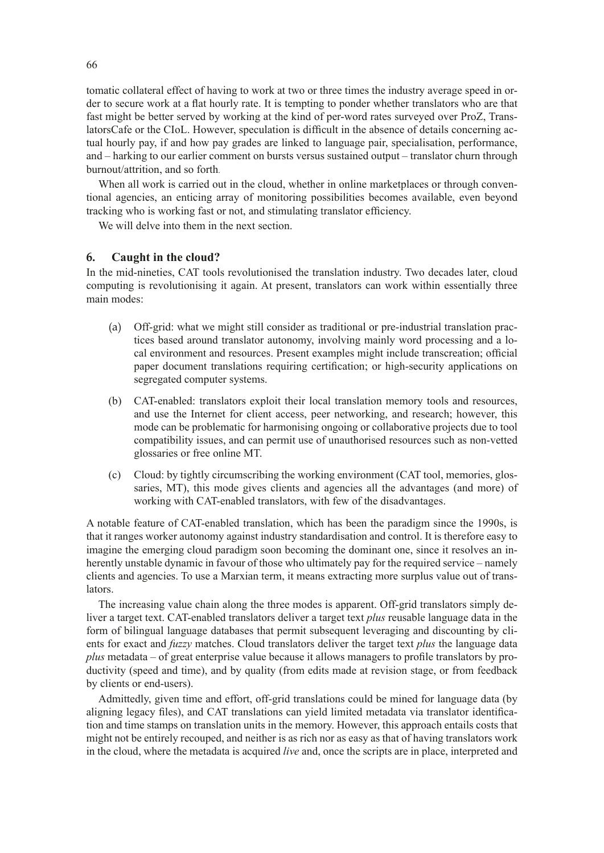tomatic collateral effect of having to work at two or three times the industry average speed in order to secure work at a flat hourly rate. It is tempting to ponder whether translators who are that fast might be better served by working at the kind of per-word rates surveyed over ProZ, TranslatorsCafe or the CIoL. However, speculation is difficult in the absence of details concerning actual hourly pay, if and how pay grades are linked to language pair, specialisation, performance, and – harking to our earlier comment on bursts versus sustained output – translator churn through burnout/attrition, and so forth.

When all work is carried out in the cloud, whether in online marketplaces or through conventional agencies, an enticing array of monitoring possibilities becomes available, even beyond tracking who is working fast or not, and stimulating translator efficiency.

We will delve into them in the next section.

## **6. Caught in the cloud?**

In the mid-nineties, CAT tools revolutionised the translation industry. Two decades later, cloud computing is revolutionising it again. At present, translators can work within essentially three main modes:

- (a) Off-grid: what we might still consider as traditional or pre-industrial translation practices based around translator autonomy, involving mainly word processing and a local environment and resources. Present examples might include transcreation; official paper document translations requiring certification; or high-security applications on segregated computer systems.
- (b) CAT-enabled: translators exploit their local translation memory tools and resources, and use the Internet for client access, peer networking, and research; however, this mode can be problematic for harmonising ongoing or collaborative projects due to tool compatibility issues, and can permit use of unauthorised resources such as non-vetted glossaries or free online MT.
- (c) Cloud: by tightly circumscribing the working environment (CAT tool, memories, glossaries, MT), this mode gives clients and agencies all the advantages (and more) of working with CAT-enabled translators, with few of the disadvantages.

A notable feature of CAT-enabled translation, which has been the paradigm since the 1990s, is that it ranges worker autonomy against industry standardisation and control. It is therefore easy to imagine the emerging cloud paradigm soon becoming the dominant one, since it resolves an inherently unstable dynamic in favour of those who ultimately pay for the required service – namely clients and agencies. To use a Marxian term, it means extracting more surplus value out of translators.

The increasing value chain along the three modes is apparent. Off-grid translators simply deliver a target text. CAT-enabled translators deliver a target text *plus* reusable language data in the form of bilingual language databases that permit subsequent leveraging and discounting by clients for exact and *fuzzy* matches. Cloud translators deliver the target text *plus* the language data *plus* metadata – of great enterprise value because it allows managers to profile translators by productivity (speed and time), and by quality (from edits made at revision stage, or from feedback by clients or end-users).

Admittedly, given time and effort, off-grid translations could be mined for language data (by aligning legacy files), and CAT translations can yield limited metadata via translator identification and time stamps on translation units in the memory. However, this approach entails costs that might not be entirely recouped, and neither is as rich nor as easy as that of having translators work in the cloud, where the metadata is acquired *live* and, once the scripts are in place, interpreted and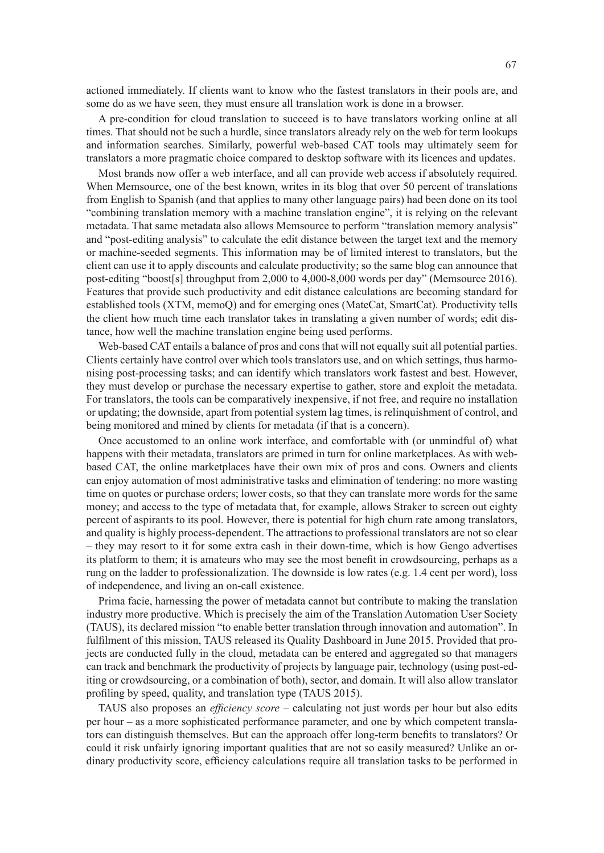actioned immediately. If clients want to know who the fastest translators in their pools are, and some do as we have seen, they must ensure all translation work is done in a browser.

A pre-condition for cloud translation to succeed is to have translators working online at all times. That should not be such a hurdle, since translators already rely on the web for term lookups and information searches. Similarly, powerful web-based CAT tools may ultimately seem for translators a more pragmatic choice compared to desktop software with its licences and updates.

Most brands now offer a web interface, and all can provide web access if absolutely required. When Memsource, one of the best known, writes in its blog that over 50 percent of translations from English to Spanish (and that applies to many other language pairs) had been done on its tool "combining translation memory with a machine translation engine", it is relying on the relevant metadata. That same metadata also allows Memsource to perform "translation memory analysis" and "post-editing analysis" to calculate the edit distance between the target text and the memory or machine-seeded segments. This information may be of limited interest to translators, but the client can use it to apply discounts and calculate productivity; so the same blog can announce that post-editing "boost[s] throughput from 2,000 to 4,000-8,000 words per day" (Memsource 2016). Features that provide such productivity and edit distance calculations are becoming standard for established tools (XTM, memoQ) and for emerging ones (MateCat, SmartCat). Productivity tells the client how much time each translator takes in translating a given number of words; edit distance, how well the machine translation engine being used performs.

Web-based CAT entails a balance of pros and cons that will not equally suit all potential parties. Clients certainly have control over which tools translators use, and on which settings, thus harmonising post-processing tasks; and can identify which translators work fastest and best. However, they must develop or purchase the necessary expertise to gather, store and exploit the metadata. For translators, the tools can be comparatively inexpensive, if not free, and require no installation or updating; the downside, apart from potential system lag times, is relinquishment of control, and being monitored and mined by clients for metadata (if that is a concern).

Once accustomed to an online work interface, and comfortable with (or unmindful of) what happens with their metadata, translators are primed in turn for online marketplaces. As with webbased CAT, the online marketplaces have their own mix of pros and cons. Owners and clients can enjoy automation of most administrative tasks and elimination of tendering: no more wasting time on quotes or purchase orders; lower costs, so that they can translate more words for the same money; and access to the type of metadata that, for example, allows Straker to screen out eighty percent of aspirants to its pool. However, there is potential for high churn rate among translators, and quality is highly process-dependent. The attractions to professional translators are not so clear – they may resort to it for some extra cash in their down-time, which is how Gengo advertises its platform to them; it is amateurs who may see the most benefit in crowdsourcing, perhaps as a rung on the ladder to professionalization. The downside is low rates (e.g. 1.4 cent per word), loss of independence, and living an on-call existence.

Prima facie, harnessing the power of metadata cannot but contribute to making the translation industry more productive. Which is precisely the aim of the Translation Automation User Society (TAUS), its declared mission "to enable better translation through innovation and automation". In fulfilment of this mission, TAUS released its Quality Dashboard in June 2015. Provided that projects are conducted fully in the cloud, metadata can be entered and aggregated so that managers can track and benchmark the productivity of projects by language pair, technology (using post-editing or crowdsourcing, or a combination of both), sector, and domain. It will also allow translator profiling by speed, quality, and translation type (TAUS 2015).

TAUS also proposes an *efficiency score* – calculating not just words per hour but also edits per hour – as a more sophisticated performance parameter, and one by which competent translators can distinguish themselves. But can the approach offer long-term benefits to translators? Or could it risk unfairly ignoring important qualities that are not so easily measured? Unlike an ordinary productivity score, efficiency calculations require all translation tasks to be performed in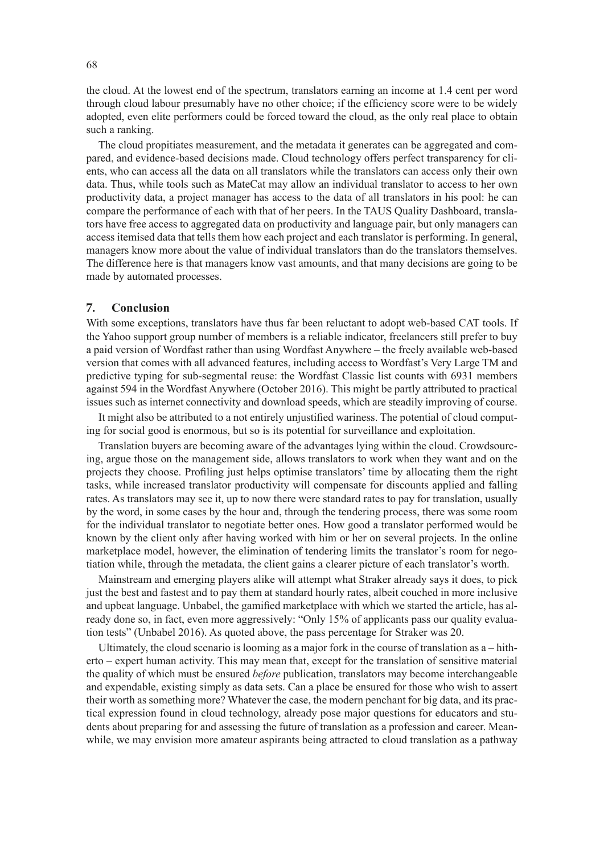the cloud. At the lowest end of the spectrum, translators earning an income at 1.4 cent per word through cloud labour presumably have no other choice; if the efficiency score were to be widely adopted, even elite performers could be forced toward the cloud, as the only real place to obtain such a ranking.

The cloud propitiates measurement, and the metadata it generates can be aggregated and compared, and evidence-based decisions made. Cloud technology offers perfect transparency for clients, who can access all the data on all translators while the translators can access only their own data. Thus, while tools such as MateCat may allow an individual translator to access to her own productivity data, a project manager has access to the data of all translators in his pool: he can compare the performance of each with that of her peers. In the TAUS Quality Dashboard, translators have free access to aggregated data on productivity and language pair, but only managers can access itemised data that tells them how each project and each translator is performing. In general, managers know more about the value of individual translators than do the translators themselves. The difference here is that managers know vast amounts, and that many decisions are going to be made by automated processes.

## **7. Conclusion**

With some exceptions, translators have thus far been reluctant to adopt web-based CAT tools. If the Yahoo support group number of members is a reliable indicator, freelancers still prefer to buy a paid version of Wordfast rather than using Wordfast Anywhere – the freely available web-based version that comes with all advanced features, including access to Wordfast's Very Large TM and predictive typing for sub-segmental reuse: the Wordfast Classic list counts with 6931 members against 594 in the Wordfast Anywhere (October 2016). This might be partly attributed to practical issues such as internet connectivity and download speeds, which are steadily improving of course.

It might also be attributed to a not entirely unjustified wariness. The potential of cloud computing for social good is enormous, but so is its potential for surveillance and exploitation.

Translation buyers are becoming aware of the advantages lying within the cloud. Crowdsourcing, argue those on the management side, allows translators to work when they want and on the projects they choose. Profiling just helps optimise translators' time by allocating them the right tasks, while increased translator productivity will compensate for discounts applied and falling rates. As translators may see it, up to now there were standard rates to pay for translation, usually by the word, in some cases by the hour and, through the tendering process, there was some room for the individual translator to negotiate better ones. How good a translator performed would be known by the client only after having worked with him or her on several projects. In the online marketplace model, however, the elimination of tendering limits the translator's room for negotiation while, through the metadata, the client gains a clearer picture of each translator's worth.

Mainstream and emerging players alike will attempt what Straker already says it does, to pick just the best and fastest and to pay them at standard hourly rates, albeit couched in more inclusive and upbeat language. Unbabel, the gamified marketplace with which we started the article, has already done so, in fact, even more aggressively: "Only 15% of applicants pass our quality evaluation tests" (Unbabel 2016). As quoted above, the pass percentage for Straker was 20.

Ultimately, the cloud scenario is looming as a major fork in the course of translation as a – hitherto – expert human activity. This may mean that, except for the translation of sensitive material the quality of which must be ensured *before* publication, translators may become interchangeable and expendable, existing simply as data sets. Can a place be ensured for those who wish to assert their worth as something more? Whatever the case, the modern penchant for big data, and its practical expression found in cloud technology, already pose major questions for educators and students about preparing for and assessing the future of translation as a profession and career. Meanwhile, we may envision more amateur aspirants being attracted to cloud translation as a pathway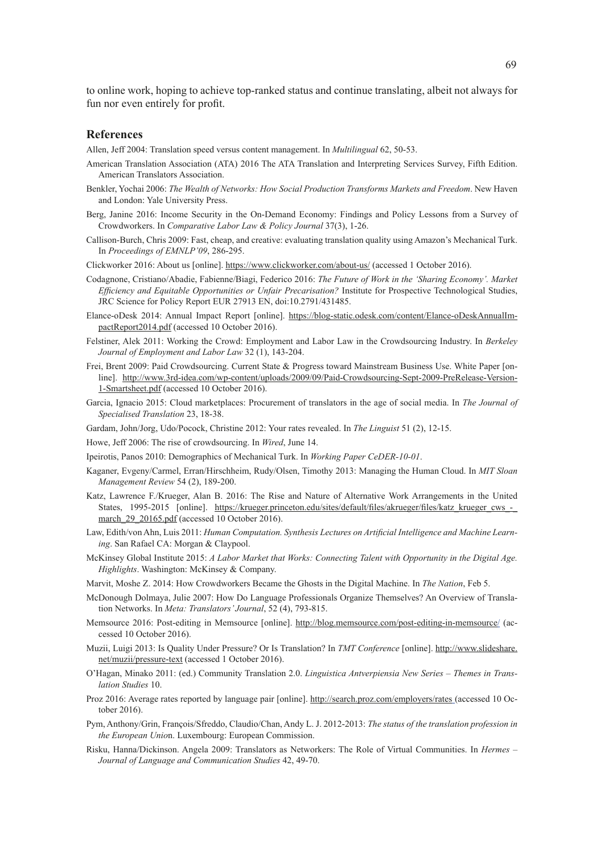to online work, hoping to achieve top-ranked status and continue translating, albeit not always for fun nor even entirely for profit.

#### **References**

Allen, Jeff 2004: Translation speed versus content management. In *Multilingual* 62, 50-53.

- American Translation Association (ATA) 2016 The ATA Translation and Interpreting Services Survey, Fifth Edition. American Translators Association.
- Benkler, Yochai 2006: *The Wealth of Networks: How Social Production Transforms Markets and Freedom*. New Haven and London: Yale University Press.
- Berg, Janine 2016: Income Security in the On-Demand Economy: Findings and Policy Lessons from a Survey of Crowdworkers. In *Comparative Labor Law & Policy Journal* 37(3), 1-26.
- Callison-Burch, Chris 2009: Fast, cheap, and creative: evaluating translation quality using Amazon's Mechanical Turk. In *Proceedings of EMNLP'09*, 286-295.
- Clickworker 2016: About us [online]. <https://www.clickworker.com/about-us/>(accessed 1 October 2016).
- Codagnone, Cristiano/Abadie, Fabienne/Biagi, Federico 2016: *The Future of Work in the 'Sharing Economy'. Market Efficiency and Equitable Opportunities or Unfair Precarisation?* Institute for Prospective Technological Studies, JRC Science for Policy Report EUR 27913 EN, doi:10.2791/431485.
- Elance-oDesk 2014: Annual Impact Report [online]. [https://blog-static.odesk.com/content/Elance-oDeskAnnualIm](https://blog-static.odesk.com/content/Elance-oDeskAnnualImpactReport2014.pdf)[pactReport2014.pdf](https://blog-static.odesk.com/content/Elance-oDeskAnnualImpactReport2014.pdf) (accessed 10 October 2016).
- Felstiner, Alek 2011: Working the Crowd: Employment and Labor Law in the Crowdsourcing Industry. In *Berkeley Journal of Employment and Labor Law* 32 (1), 143-204.
- Frei, Brent 2009: Paid Crowdsourcing. Current State & Progress toward Mainstream Business Use. White Paper [online]. [http://www.3rd-idea.com/wp-content/uploads/2009/09/Paid-Crowdsourcing-Sept-2009-PreRelease-Version-](http://www.3rd-idea.com/wp-content/uploads/2009/09/Paid-Crowdsourcing-Sept-2009-PreRelease-Version-1-Smartsheet.pdf)[1-Smartsheet.pdf](http://www.3rd-idea.com/wp-content/uploads/2009/09/Paid-Crowdsourcing-Sept-2009-PreRelease-Version-1-Smartsheet.pdf) (accessed 10 October 2016).
- Garcia, Ignacio 2015: Cloud marketplaces: Procurement of translators in the age of social media. In *The Journal of Specialised Translation* 23, 18-38.
- Gardam, John/Jorg, Udo/Pocock, Christine 2012: Your rates revealed. In *The Linguist* 51 (2), 12-15.
- Howe, Jeff 2006: The rise of crowdsourcing. In *Wired*, June 14.
- Ipeirotis, Panos 2010: Demographics of Mechanical Turk. In *Working Paper CeDER-10-01*.
- Kaganer, Evgeny/Carmel, Erran/Hirschheim, Rudy/Olsen, Timothy 2013: Managing the Human Cloud. In *MIT Sloan Management Review* 54 (2), 189-200.
- Katz, Lawrence F./Krueger, Alan B. 2016: The Rise and Nature of Alternative Work Arrangements in the United States, 1995-2015 [online]. https://krueger.princeton.edu/sites/default/files/akrueger/files/katz\_krueger\_cws\_march 29 20165.pdf (accessed 10 October 2016).
- Law, Edith/von Ahn, Luis 2011: *Human Computation. Synthesis Lectures on Artificial Intelligence and Machine Learning*. San Rafael CA: Morgan & Claypool.
- McKinsey Global Institute 2015: *A Labor Market that Works: Connecting Talent with Opportunity in the Digital Age. Highlights*. Washington: McKinsey & Company.
- Marvit, Moshe Z. 2014: How Crowdworkers Became the Ghosts in the Digital Machine. In *The Nation*, Feb 5.
- McDonough Dolmaya, Julie 2007: How Do Language Professionals Organize Themselves? An Overview of Translation Networks. In *Meta: Translators' Journal*, 52 (4), 793-815.
- Memsource 2016: Post-editing in Memsource [online]. <http://blog.memsource.com/post-editing-in-memsource/>(accessed 10 October 2016).
- Muzii, Luigi 2013: Is Quality Under Pressure? Or Is Translation? In *TMT Conference* [online]. http://www.slideshare. net/muzii/pressure-text (accessed 1 October 2016).
- O'Hagan, Minako 2011: (ed.) Community Translation 2.0. *Linguistica Antverpiensia New Series Themes in Translation Studies* 10.
- Proz 2016: Average rates reported by language pair [online]. <http://search.proz.com/employers/rates> (accessed 10 October 2016).
- Pym, Anthony/Grin, François/Sfreddo, Claudio/Chan, Andy L. J. 2012-2013: *The status of the translation profession in the European Unio*n. Luxembourg: European Commission.
- Risku, Hanna/Dickinson. Angela 2009: Translators as Networkers: The Role of Virtual Communities. In *Hermes Journal of Language and Communication Studies* 42, 49-70.